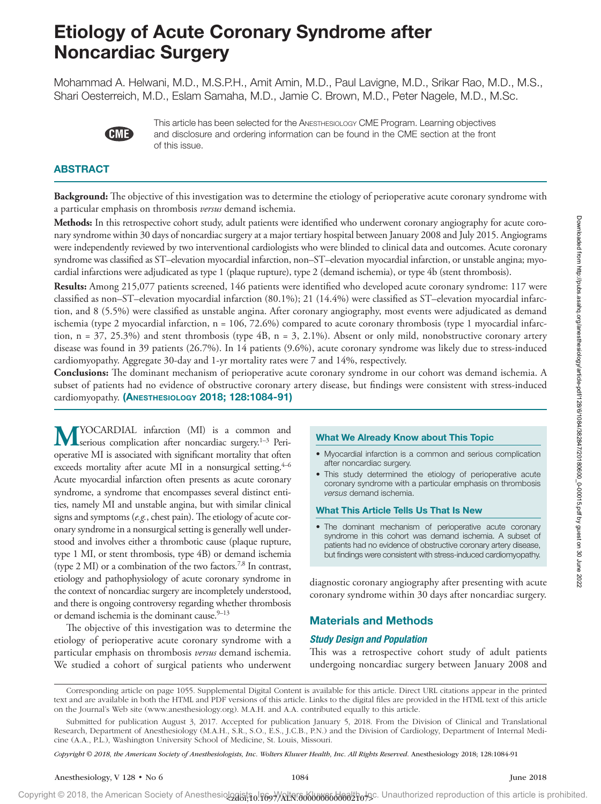# Etiology of Acute Coronary Syndrome after Noncardiac Surgery

Mohammad A. Helwani, M.D., M.S.P.H., Amit Amin, M.D., Paul Lavigne, M.D., Srikar Rao, M.D., M.S., Shari Oesterreich, M.D., Eslam Samaha, M.D., Jamie C. Brown, M.D., Peter Nagele, M.D., M.Sc.



This article has been selected for the Anesthesiology CME Program. Learning objectives and disclosure and ordering information can be found in the CME section at the front of this issue.

# ABSTRACT

**Background:** The objective of this investigation was to determine the etiology of perioperative acute coronary syndrome with a particular emphasis on thrombosis *versus* demand ischemia.

**Methods:** In this retrospective cohort study, adult patients were identified who underwent coronary angiography for acute coronary syndrome within 30 days of noncardiac surgery at a major tertiary hospital between January 2008 and July 2015. Angiograms were independently reviewed by two interventional cardiologists who were blinded to clinical data and outcomes. Acute coronary syndrome was classified as ST–elevation myocardial infarction, non–ST–elevation myocardial infarction, or unstable angina; myocardial infarctions were adjudicated as type 1 (plaque rupture), type 2 (demand ischemia), or type 4b (stent thrombosis).

**Results:** Among 215,077 patients screened, 146 patients were identified who developed acute coronary syndrome: 117 were classified as non–ST–elevation myocardial infarction (80.1%); 21 (14.4%) were classified as ST–elevation myocardial infarction, and 8 (5.5%) were classified as unstable angina. After coronary angiography, most events were adjudicated as demand ischemia (type 2 myocardial infarction,  $n = 106, 72.6\%$ ) compared to acute coronary thrombosis (type 1 myocardial infarction,  $n = 37, 25.3%$ ) and stent thrombosis (type  $4B$ ,  $n = 3, 2.1%$ ). Absent or only mild, nonobstructive coronary artery disease was found in 39 patients (26.7%). In 14 patients (9.6%), acute coronary syndrome was likely due to stress-induced cardiomyopathy. Aggregate 30-day and 1-yr mortality rates were 7 and 14%, respectively.

**Conclusions:** The dominant mechanism of perioperative acute coronary syndrome in our cohort was demand ischemia. A subset of patients had no evidence of obstructive coronary artery disease, but findings were consistent with stress-induced cardiomyopathy. (Anesthesiology 2018; 128:1084-91)

**M**YOCARDIAL infarction (MI) is a common and serious complication after noncardiac surgery.<sup>1–3</sup> Perioperative MI is associated with significant mortality that often exceeds mortality after acute MI in a nonsurgical setting. $4-6$ Acute myocardial infarction often presents as acute coronary syndrome, a syndrome that encompasses several distinct entities, namely MI and unstable angina, but with similar clinical signs and symptoms (*e.g.*, chest pain). The etiology of acute coronary syndrome in a nonsurgical setting is generally well understood and involves either a thrombotic cause (plaque rupture, type 1 MI, or stent thrombosis, type 4B) or demand ischemia (type 2 MI) or a combination of the two factors.7,8 In contrast, etiology and pathophysiology of acute coronary syndrome in the context of noncardiac surgery are incompletely understood, and there is ongoing controversy regarding whether thrombosis or demand ischemia is the dominant cause.<sup>9-13</sup>

The objective of this investigation was to determine the etiology of perioperative acute coronary syndrome with a particular emphasis on thrombosis *versus* demand ischemia. We studied a cohort of surgical patients who underwent

## What We Already Know about This Topic

- Myocardial infarction is a common and serious complication after noncardiac surgery.
- This study determined the etiology of perioperative acute coronary syndrome with a particular emphasis on thrombosis *versus* demand ischemia.

#### What This Article Tells Us That Is New

• The dominant mechanism of perioperative acute coronary syndrome in this cohort was demand ischemia. A subset of patients had no evidence of obstructive coronary artery disease, but findings were consistent with stress-induced cardiomyopathy.

diagnostic coronary angiography after presenting with acute coronary syndrome within 30 days after noncardiac surgery.

# Materials and Methods

#### *Study Design and Population*

This was a retrospective cohort study of adult patients undergoing noncardiac surgery between January 2008 and

*Copyright © 2018, the American Society of Anesthesiologists, Inc. Wolters Kluwer Health, Inc. All Rights Reserved.* Anesthesiology 2018; 128:1084-91

Copyright © 2018, the American Society of Anesthesiologists, Inc. Wolters Kluwer Health, Inc. Unauthorized reproduction of this article is prohibited. <zdoi;10.1097/ALN.0000000000002107>

Corresponding article on page 1055. Supplemental Digital Content is available for this article. Direct URL citations appear in the printed text and are available in both the HTML and PDF versions of this article. Links to the digital files are provided in the HTML text of this article on the Journal's Web site ([www.anesthesiology.org\)](www.anesthesiology.org). M.A.H. and A.A. contributed equally to this article.

Submitted for publication August 3, 2017. Accepted for publication January 5, 2018. From the Division of Clinical and Translational Research, Department of Anesthesiology (M.A.H., S.R., S.O., E.S., J.C.B., P.N.) and the Division of Cardiology, Department of Internal Medicine (A.A., P.L.), Washington University School of Medicine, St. Louis, Missouri.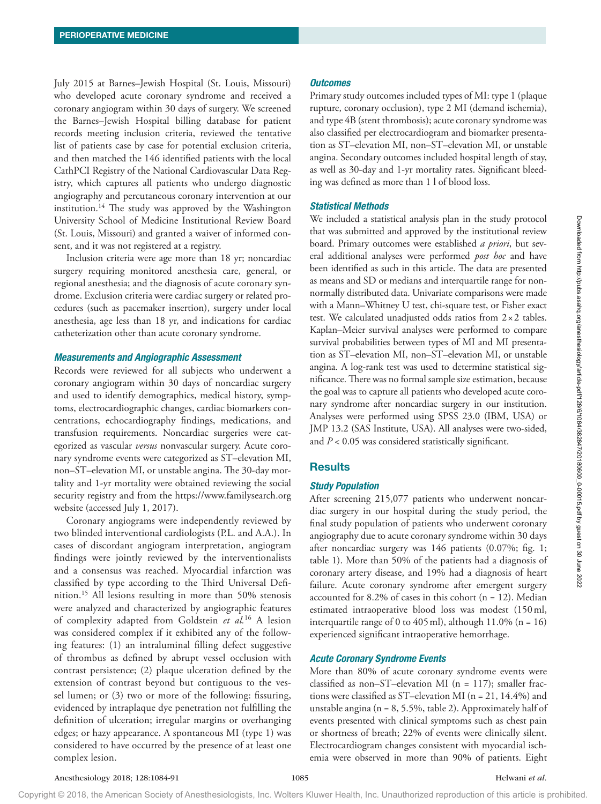July 2015 at Barnes–Jewish Hospital (St. Louis, Missouri) who developed acute coronary syndrome and received a coronary angiogram within 30 days of surgery. We screened the Barnes–Jewish Hospital billing database for patient records meeting inclusion criteria, reviewed the tentative list of patients case by case for potential exclusion criteria, and then matched the 146 identified patients with the local CathPCI Registry of the National Cardiovascular Data Registry, which captures all patients who undergo diagnostic angiography and percutaneous coronary intervention at our institution.<sup>14</sup> The study was approved by the Washington University School of Medicine Institutional Review Board (St. Louis, Missouri) and granted a waiver of informed consent, and it was not registered at a registry.

Inclusion criteria were age more than 18 yr; noncardiac surgery requiring monitored anesthesia care, general, or regional anesthesia; and the diagnosis of acute coronary syndrome. Exclusion criteria were cardiac surgery or related procedures (such as pacemaker insertion), surgery under local anesthesia, age less than 18 yr, and indications for cardiac catheterization other than acute coronary syndrome.

#### *Measurements and Angiographic Assessment*

Records were reviewed for all subjects who underwent a coronary angiogram within 30 days of noncardiac surgery and used to identify demographics, medical history, symptoms, electrocardiographic changes, cardiac biomarkers concentrations, echocardiography findings, medications, and transfusion requirements. Noncardiac surgeries were categorized as vascular *versus* nonvascular surgery. Acute coronary syndrome events were categorized as ST–elevation MI, non–ST–elevation MI, or unstable angina. The 30-day mortality and 1-yr mortality were obtained reviewing the social security registry and from the <https://www.familysearch.org> website (accessed July 1, 2017).

Coronary angiograms were independently reviewed by two blinded interventional cardiologists (P.L. and A.A.). In cases of discordant angiogram interpretation, angiogram findings were jointly reviewed by the interventionalists and a consensus was reached. Myocardial infarction was classified by type according to the Third Universal Definition.15 All lesions resulting in more than 50% stenosis were analyzed and characterized by angiographic features of complexity adapted from Goldstein *et al.*16 A lesion was considered complex if it exhibited any of the following features: (1) an intraluminal filling defect suggestive of thrombus as defined by abrupt vessel occlusion with contrast persistence; (2) plaque ulceration defined by the extension of contrast beyond but contiguous to the vessel lumen; or (3) two or more of the following: fissuring, evidenced by intraplaque dye penetration not fulfilling the definition of ulceration; irregular margins or overhanging edges; or hazy appearance. A spontaneous MI (type 1) was considered to have occurred by the presence of at least one complex lesion.

#### *Outcomes*

Primary study outcomes included types of MI: type 1 (plaque rupture, coronary occlusion), type 2 MI (demand ischemia), and type 4B (stent thrombosis); acute coronary syndrome was also classified per electrocardiogram and biomarker presentation as ST–elevation MI, non–ST–elevation MI, or unstable angina. Secondary outcomes included hospital length of stay, as well as 30-day and 1-yr mortality rates. Significant bleeding was defined as more than 1 l of blood loss.

#### *Statistical Methods*

We included a statistical analysis plan in the study protocol that was submitted and approved by the institutional review board. Primary outcomes were established *a priori*, but several additional analyses were performed *post hoc* and have been identified as such in this article. The data are presented as means and SD or medians and interquartile range for nonnormally distributed data. Univariate comparisons were made with a Mann–Whitney U test, chi-square test, or Fisher exact test. We calculated unadjusted odds ratios from 2×2 tables. Kaplan–Meier survival analyses were performed to compare survival probabilities between types of MI and MI presentation as ST–elevation MI, non–ST–elevation MI, or unstable angina. A log-rank test was used to determine statistical significance. There was no formal sample size estimation, because the goal was to capture all patients who developed acute coronary syndrome after noncardiac surgery in our institution. Analyses were performed using SPSS 23.0 (IBM, USA) or JMP 13.2 (SAS Institute, USA). All analyses were two-sided, and *P* < 0.05 was considered statistically significant.

#### Results

#### *Study Population*

After screening 215,077 patients who underwent noncardiac surgery in our hospital during the study period, the final study population of patients who underwent coronary angiography due to acute coronary syndrome within 30 days after noncardiac surgery was 146 patients (0.07%; fig. 1; table 1). More than 50% of the patients had a diagnosis of coronary artery disease, and 19% had a diagnosis of heart failure. Acute coronary syndrome after emergent surgery accounted for 8.2% of cases in this cohort  $(n = 12)$ . Median estimated intraoperative blood loss was modest (150ml, interquartile range of 0 to 405 ml), although  $11.0\%$  (n = 16) experienced significant intraoperative hemorrhage.

## *Acute Coronary Syndrome Events*

More than 80% of acute coronary syndrome events were classified as non–ST–elevation MI ( $n = 117$ ); smaller fractions were classified as ST–elevation MI (n = 21, 14.4%) and unstable angina ( $n = 8, 5.5\%$ , table 2). Approximately half of events presented with clinical symptoms such as chest pain or shortness of breath; 22% of events were clinically silent. Electrocardiogram changes consistent with myocardial ischemia were observed in more than 90% of patients. Eight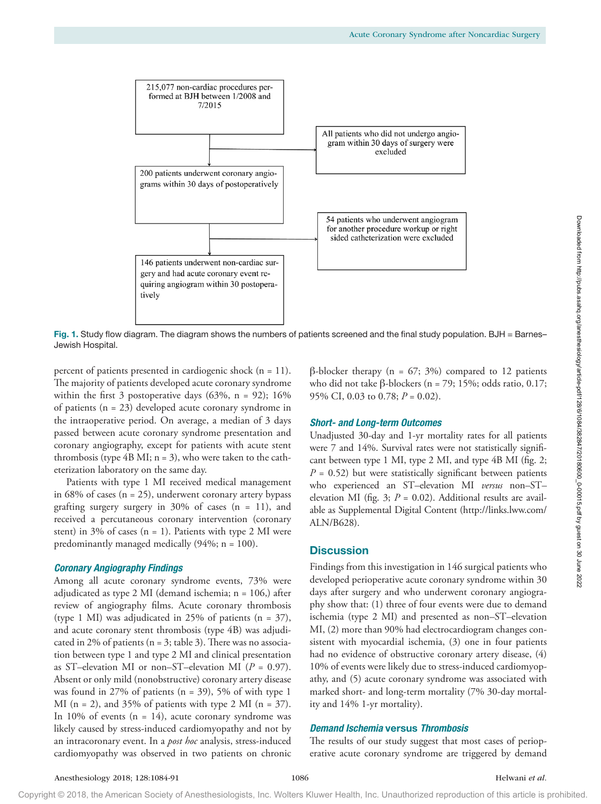

Fig. 1. Study flow diagram. The diagram shows the numbers of patients screened and the final study population. BJH = Barnes-Jewish Hospital.

percent of patients presented in cardiogenic shock (n = 11). The majority of patients developed acute coronary syndrome within the first 3 postoperative days  $(63\%, n = 92)$ ; 16% of patients (n = 23) developed acute coronary syndrome in the intraoperative period. On average, a median of 3 days passed between acute coronary syndrome presentation and coronary angiography, except for patients with acute stent thrombosis (type  $4B$  MI;  $n = 3$ ), who were taken to the catheterization laboratory on the same day.

Patients with type 1 MI received medical management in  $68\%$  of cases ( $n = 25$ ), underwent coronary artery bypass grafting surgery surgery in  $30\%$  of cases (n = 11), and received a percutaneous coronary intervention (coronary stent) in 3% of cases  $(n = 1)$ . Patients with type 2 MI were predominantly managed medically (94%; n = 100).

#### *Coronary Angiography Findings*

Among all acute coronary syndrome events, 73% were adjudicated as type 2 MI (demand ischemia; n = 106,) after review of angiography films. Acute coronary thrombosis (type 1 MI) was adjudicated in 25% of patients  $(n = 37)$ , and acute coronary stent thrombosis (type 4B) was adjudicated in 2% of patients ( $n = 3$ ; table 3). There was no association between type 1 and type 2 MI and clinical presentation as ST–elevation MI or non–ST–elevation MI (*P* = 0.97). Absent or only mild (nonobstructive) coronary artery disease was found in 27% of patients  $(n = 39)$ , 5% of with type 1 MI ( $n = 2$ ), and 35% of patients with type 2 MI ( $n = 37$ ). In 10% of events  $(n = 14)$ , acute coronary syndrome was likely caused by stress-induced cardiomyopathy and not by an intracoronary event. In a *post hoc* analysis, stress-induced cardiomyopathy was observed in two patients on chronic β-blocker therapy (n =  $67; 3%$ ) compared to 12 patients who did not take β-blockers (n = 79; 15%; odds ratio, 0.17; 95% CI, 0.03 to 0.78; *P* = 0.02).

#### *Short- and Long-term Outcomes*

Unadjusted 30-day and 1-yr mortality rates for all patients were 7 and 14%. Survival rates were not statistically significant between type 1 MI, type 2 MI, and type 4B MI (fig. 2;  $P = 0.52$ ) but were statistically significant between patients who experienced an ST–elevation MI *versus* non–ST– elevation MI (fig. 3;  $P = 0.02$ ). Additional results are available as Supplemental Digital Content ([http://links.lww.com/](http://links.lww.com/ALN/B628) [ALN/B628\)](http://links.lww.com/ALN/B628).

## **Discussion**

Findings from this investigation in 146 surgical patients who developed perioperative acute coronary syndrome within 30 days after surgery and who underwent coronary angiography show that: (1) three of four events were due to demand ischemia (type 2 MI) and presented as non–ST–elevation MI, (2) more than 90% had electrocardiogram changes consistent with myocardial ischemia, (3) one in four patients had no evidence of obstructive coronary artery disease, (4) 10% of events were likely due to stress-induced cardiomyopathy, and (5) acute coronary syndrome was associated with marked short- and long-term mortality (7% 30-day mortality and 14% 1-yr mortality).

## *Demand Ischemia* versus *Thrombosis*

The results of our study suggest that most cases of perioperative acute coronary syndrome are triggered by demand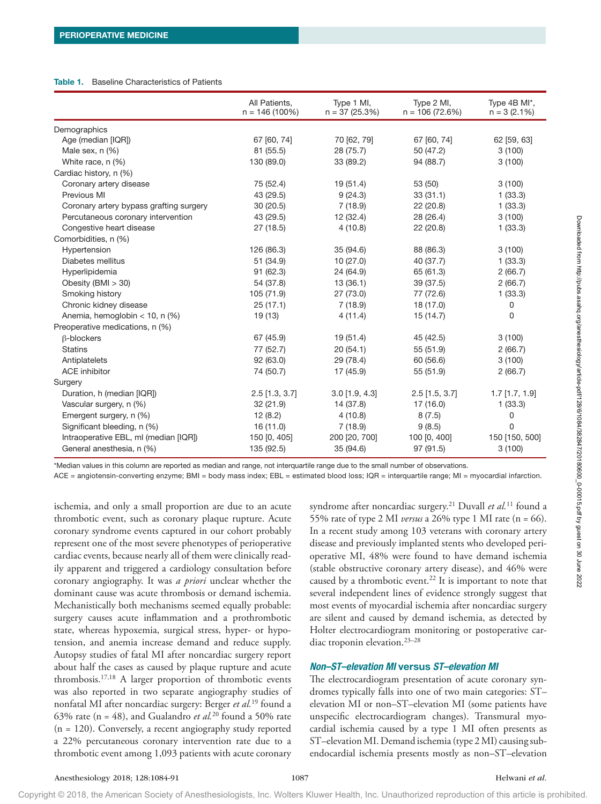#### Table 1. Baseline Characteristics of Patients

|                                         | All Patients,<br>$n = 146(100\%)$ | Type 1 MI,<br>$n = 37(25.3%)$ | Type 2 MI,<br>$n = 106(72.6%)$ | Type 4B MI*,<br>$n = 3 (2.1%)$ |
|-----------------------------------------|-----------------------------------|-------------------------------|--------------------------------|--------------------------------|
| Demographics                            |                                   |                               |                                |                                |
| Age (median [IQR])                      | 67 [60, 74]                       | 70 [62, 79]                   | 67 [60, 74]                    | 62 [59, 63]                    |
| Male sex, n (%)                         | 81 (55.5)                         | 28 (75.7)                     | 50 (47.2)                      | 3(100)                         |
| White race, n (%)                       | 130 (89.0)                        | 33 (89.2)                     | 94 (88.7)                      | 3(100)                         |
| Cardiac history, n (%)                  |                                   |                               |                                |                                |
| Coronary artery disease                 | 75 (52.4)                         | 19(51.4)                      | 53 (50)                        | 3(100)                         |
| Previous MI                             | 43 (29.5)                         | 9(24.3)                       | 33(31.1)                       | 1(33.3)                        |
| Coronary artery bypass grafting surgery | 30(20.5)                          | 7(18.9)                       | 22 (20.8)                      | 1(33.3)                        |
| Percutaneous coronary intervention      | 43 (29.5)                         | 12 (32.4)                     | 28 (26.4)                      | 3(100)                         |
| Congestive heart disease                | 27 (18.5)                         | 4(10.8)                       | 22 (20.8)                      | 1(33.3)                        |
| Comorbidities, n (%)                    |                                   |                               |                                |                                |
| Hypertension                            | 126 (86.3)                        | 35 (94.6)                     | 88 (86.3)                      | 3(100)                         |
| Diabetes mellitus                       | 51 (34.9)                         | 10(27.0)                      | 40 (37.7)                      | 1(33.3)                        |
| Hyperlipidemia                          | 91 (62.3)                         | 24 (64.9)                     | 65 (61.3)                      | 2(66.7)                        |
| Obesity (BMI $>$ 30)                    | 54 (37.8)                         | 13(36.1)                      | 39 (37.5)                      | 2(66.7)                        |
| Smoking history                         | 105 (71.9)                        | 27 (73.0)                     | 77 (72.6)                      | 1(33.3)                        |
| Chronic kidney disease                  | 25(17.1)                          | 7(18.9)                       | 18 (17.0)                      | 0                              |
| Anemia, hemoglobin $<$ 10, n (%)        | 19 (13)                           | 4(11.4)                       | 15(14.7)                       | 0                              |
| Preoperative medications, n (%)         |                                   |                               |                                |                                |
| $\beta$ -blockers                       | 67 (45.9)                         | 19 (51.4)                     | 45 (42.5)                      | 3(100)                         |
| <b>Statins</b>                          | 77 (52.7)                         | 20(54.1)                      | 55 (51.9)                      | 2(66.7)                        |
| Antiplatelets                           | 92 (63.0)                         | 29 (78.4)                     | 60 (56.6)                      | 3(100)                         |
| <b>ACE</b> inhibitor                    | 74 (50.7)                         | 17 (45.9)                     | 55 (51.9)                      | 2(66.7)                        |
| Surgery                                 |                                   |                               |                                |                                |
| Duration, h (median [IQR])              | $2.5$ [1.3, 3.7]                  | $3.0$ [1.9, 4.3]              | $2.5$ [1.5, 3.7]               | $1.7$ [1.7, 1.9]               |
| Vascular surgery, n (%)                 | 32 (21.9)                         | 14 (37.8)                     | 17(16.0)                       | 1(33.3)                        |
| Emergent surgery, n (%)                 | 12(8.2)                           | 4(10.8)                       | 8(7.5)                         | 0                              |
| Significant bleeding, n (%)             | 16 (11.0)                         | 7(18.9)                       | 9(8.5)                         | 0                              |
| Intraoperative EBL, ml (median [IQR])   | 150 [0, 405]                      | 200 [20, 700]                 | 100 [0, 400]                   | 150 [150, 500]                 |
| General anesthesia, n (%)               | 135 (92.5)                        | 35 (94.6)                     | 97 (91.5)                      | 3(100)                         |

\*Median values in this column are reported as median and range, not interquartile range due to the small number of observations.

ACE = angiotensin-converting enzyme; BMI = body mass index; EBL = estimated blood loss; IQR = interquartile range; MI = myocardial infarction.

ischemia, and only a small proportion are due to an acute thrombotic event, such as coronary plaque rupture. Acute coronary syndrome events captured in our cohort probably represent one of the most severe phenotypes of perioperative cardiac events, because nearly all of them were clinically readily apparent and triggered a cardiology consultation before coronary angiography. It was *a priori* unclear whether the dominant cause was acute thrombosis or demand ischemia. Mechanistically both mechanisms seemed equally probable: surgery causes acute inflammation and a prothrombotic state, whereas hypoxemia, surgical stress, hyper- or hypotension, and anemia increase demand and reduce supply. Autopsy studies of fatal MI after noncardiac surgery report about half the cases as caused by plaque rupture and acute thrombosis.17,18 A larger proportion of thrombotic events was also reported in two separate angiography studies of nonfatal MI after noncardiac surgery: Berger *et al.*19 found a 63% rate ( $n = 48$ ), and Gualandro *et al.*<sup>20</sup> found a 50% rate (n = 120). Conversely, a recent angiography study reported a 22% percutaneous coronary intervention rate due to a thrombotic event among 1,093 patients with acute coronary

syndrome after noncardiac surgery.21 Duvall *et al.*11 found a 55% rate of type 2 MI *versus* a 26% type 1 MI rate (n = 66). In a recent study among 103 veterans with coronary artery disease and previously implanted stents who developed perioperative MI, 48% were found to have demand ischemia (stable obstructive coronary artery disease), and 46% were caused by a thrombotic event.<sup>22</sup> It is important to note that several independent lines of evidence strongly suggest that most events of myocardial ischemia after noncardiac surgery are silent and caused by demand ischemia, as detected by Holter electrocardiogram monitoring or postoperative cardiac troponin elevation.23–28

## *Non–ST–elevation MI* **versus** *ST–elevation MI*

The electrocardiogram presentation of acute coronary syndromes typically falls into one of two main categories: ST– elevation MI or non–ST–elevation MI (some patients have unspecific electrocardiogram changes). Transmural myocardial ischemia caused by a type 1 MI often presents as ST–elevation MI. Demand ischemia (type 2 MI) causing subendocardial ischemia presents mostly as non–ST–elevation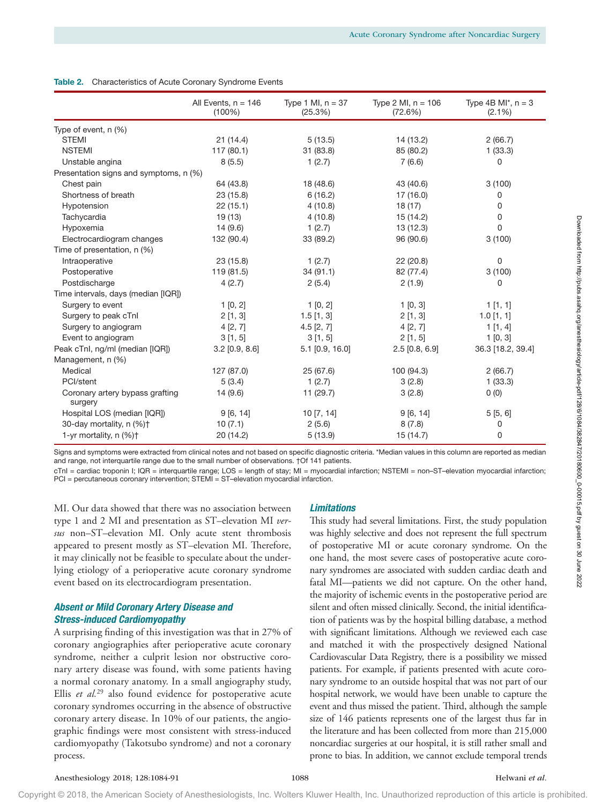|  | Table 2. Characteristics of Acute Coronary Syndrome Events |  |  |  |  |
|--|------------------------------------------------------------|--|--|--|--|
|--|------------------------------------------------------------|--|--|--|--|

|                                            | All Events, $n = 146$<br>$(100\%)$ | Type 1 MI, $n = 37$<br>(25.3%) | Type 2 MI, $n = 106$<br>(72.6%) | Type 4B MI <sup>*</sup> , $n = 3$<br>$(2.1\%)$ |
|--------------------------------------------|------------------------------------|--------------------------------|---------------------------------|------------------------------------------------|
| Type of event, n (%)                       |                                    |                                |                                 |                                                |
| <b>STEMI</b>                               | 21(14.4)                           | 5(13.5)                        | 14 (13.2)                       | 2(66.7)                                        |
| <b>NSTEMI</b>                              | 117 (80.1)                         | 31 (83.8)                      | 85 (80.2)                       | 1(33.3)                                        |
| Unstable angina                            | 8(5.5)                             | 1(2.7)                         | 7(6.6)                          | 0                                              |
| Presentation signs and symptoms, n (%)     |                                    |                                |                                 |                                                |
| Chest pain                                 | 64 (43.8)                          | 18 (48.6)                      | 43 (40.6)                       | 3(100)                                         |
| Shortness of breath                        | 23 (15.8)                          | 6(16.2)                        | 17(16.0)                        | 0                                              |
| Hypotension                                | 22(15.1)                           | 4(10.8)                        | 18(17)                          | 0                                              |
| Tachycardia                                | 19(13)                             | 4(10.8)                        | 15(14.2)                        | 0                                              |
| Hypoxemia                                  | 14(9.6)                            | 1(2.7)                         | 13(12.3)                        | 0                                              |
| Electrocardiogram changes                  | 132 (90.4)                         | 33 (89.2)                      | 96 (90.6)                       | 3(100)                                         |
| Time of presentation, n (%)                |                                    |                                |                                 |                                                |
| Intraoperative                             | 23 (15.8)                          | 1(2.7)                         | 22 (20.8)                       | $\Omega$                                       |
| Postoperative                              | 119 (81.5)                         | 34(91.1)                       | 82 (77.4)                       | 3(100)                                         |
| Postdischarge                              | 4(2.7)                             | 2(5.4)                         | 2(1.9)                          | 0                                              |
| Time intervals, days (median [IQR])        |                                    |                                |                                 |                                                |
| Surgery to event                           | 1 [0, 2]                           | 1 [0, 2]                       | 1 [0, 3]                        | 1[1, 1]                                        |
| Surgery to peak cTnl                       | $2$ [1, 3]                         | $1.5$ [1, 3]                   | $2$ [1, 3]                      | $1.0$ [1, 1]                                   |
| Surgery to angiogram                       | 4[2, 7]                            | $4.5$ [2, 7]                   | 4[2, 7]                         | 1[1, 4]                                        |
| Event to angiogram                         | 3[1, 5]                            | 3[1, 5]                        | 2[1, 5]                         | 1[0, 3]                                        |
| Peak cTnl, ng/ml (median [IQR])            | $3.2$ [0.9, 8.6]                   | $5.1$ [0.9, 16.0]              | $2.5$ [0.8, 6.9]                | 36.3 [18.2, 39.4]                              |
| Management, n (%)                          |                                    |                                |                                 |                                                |
| Medical                                    | 127 (87.0)                         | 25 (67.6)                      | 100 (94.3)                      | 2(66.7)                                        |
| PCI/stent                                  | 5(3.4)                             | 1(2.7)                         | 3(2.8)                          | 1(33.3)                                        |
| Coronary artery bypass grafting<br>surgery | 14(9.6)                            | 11(29.7)                       | 3(2.8)                          | 0(0)                                           |
| Hospital LOS (median [IQR])                | 9[6, 14]                           | 10[7, 14]                      | 9[6, 14]                        | 5[5, 6]                                        |
| 30-day mortality, n (%)+                   | 10(7.1)                            | 2(5.6)                         | 8(7.8)                          | 0                                              |
| 1-yr mortality, n (%)+                     | 20 (14.2)                          | 5(13.9)                        | 15 (14.7)                       | 0                                              |

Signs and symptoms were extracted from clinical notes and not based on specific diagnostic criteria. \*Median values in this column are reported as median and range, not interquartile range due to the small number of observations. †Of 141 patients.

cTnI = cardiac troponin I; IQR = interquartile range; LOS = length of stay; MI = myocardial infarction; NSTEMI = non–ST–elevation myocardial infarction; PCI = percutaneous coronary intervention; STEMI = ST-elevation myocardial infarction.

MI. Our data showed that there was no association between type 1 and 2 MI and presentation as ST–elevation MI *versus* non–ST–elevation MI. Only acute stent thrombosis appeared to present mostly as ST–elevation MI. Therefore, it may clinically not be feasible to speculate about the underlying etiology of a perioperative acute coronary syndrome event based on its electrocardiogram presentation.

## *Absent or Mild Coronary Artery Disease and Stress-induced Cardiomyopathy*

A surprising finding of this investigation was that in 27% of coronary angiographies after perioperative acute coronary syndrome, neither a culprit lesion nor obstructive coronary artery disease was found, with some patients having a normal coronary anatomy. In a small angiography study, Ellis *et al.*<sup>29</sup> also found evidence for postoperative acute coronary syndromes occurring in the absence of obstructive coronary artery disease. In 10% of our patients, the angiographic findings were most consistent with stress-induced cardiomyopathy (Takotsubo syndrome) and not a coronary process.

# *Limitations*

This study had several limitations. First, the study population was highly selective and does not represent the full spectrum of postoperative MI or acute coronary syndrome. On the one hand, the most severe cases of postoperative acute coronary syndromes are associated with sudden cardiac death and fatal MI—patients we did not capture. On the other hand, the majority of ischemic events in the postoperative period are silent and often missed clinically. Second, the initial identification of patients was by the hospital billing database, a method with significant limitations. Although we reviewed each case and matched it with the prospectively designed National Cardiovascular Data Registry, there is a possibility we missed patients. For example, if patients presented with acute coronary syndrome to an outside hospital that was not part of our hospital network, we would have been unable to capture the event and thus missed the patient. Third, although the sample size of 146 patients represents one of the largest thus far in the literature and has been collected from more than 215,000 noncardiac surgeries at our hospital, it is still rather small and prone to bias. In addition, we cannot exclude temporal trends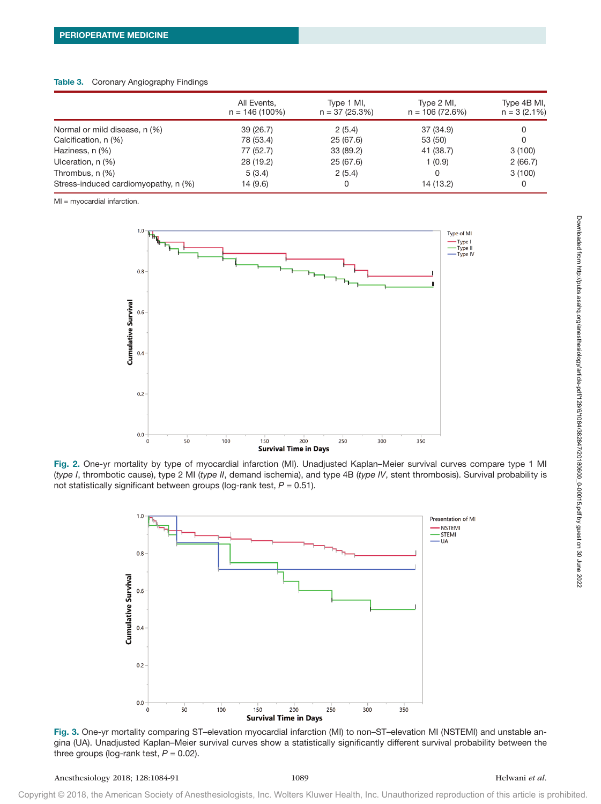#### Table 3. Coronary Angiography Findings

|                                      | All Events,<br>$n = 146(100\%)$ | Type 1 MI,<br>$n = 37(25.3%)$ | Type 2 MI,<br>$n = 106(72.6%)$ | Type 4B MI,<br>$n = 3(2.1%)$ |
|--------------------------------------|---------------------------------|-------------------------------|--------------------------------|------------------------------|
| Normal or mild disease, n (%)        | 39 (26.7)                       | 2(5.4)                        | 37 (34.9)                      |                              |
| Calcification, n (%)                 | 78 (53.4)                       | 25 (67.6)                     | 53 (50)                        |                              |
| Haziness, n (%)                      | 77 (52.7)                       | 33 (89.2)                     | 41 (38.7)                      | 3(100)                       |
| Ulceration, n (%)                    | 28 (19.2)                       | 25(67.6)                      | 1(0.9)                         | 2(66.7)                      |
| Thrombus, n (%)                      | 5(3.4)                          | 2(5.4)                        | 0                              | 3(100)                       |
| Stress-induced cardiomyopathy, n (%) | 14 (9.6)                        | 0                             | 14 (13.2)                      | 0                            |

MI = myocardial infarction.



Fig. 2. One-yr mortality by type of myocardial infarction (MI). Unadjusted Kaplan–Meier survival curves compare type 1 MI (*type I*, thrombotic cause), type 2 MI (*type II*, demand ischemia), and type 4B (*type IV*, stent thrombosis). Survival probability is not statistically significant between groups (log-rank test, *P* = 0.51).



Fig. 3. One-yr mortality comparing ST–elevation myocardial infarction (MI) to non–ST–elevation MI (NSTEMI) and unstable angina (UA). Unadjusted Kaplan–Meier survival curves show a statistically significantly different survival probability between the three groups (log-rank test,  $P = 0.02$ ).

Downloaded from http://pubs.asahq.org/anesthesiology/article-pdf/128/6/1084/382847/20180600\_0-00015.pdf by guest on 30 June 2022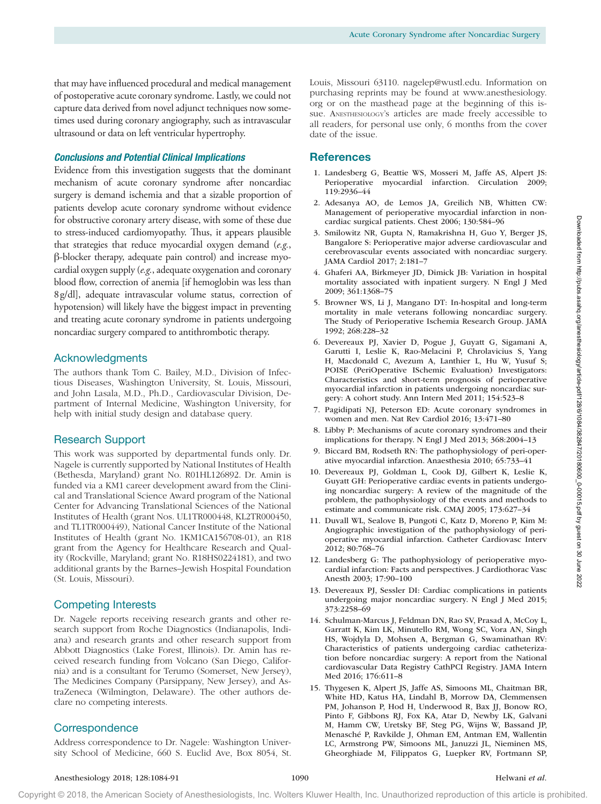that may have influenced procedural and medical management of postoperative acute coronary syndrome. Lastly, we could not capture data derived from novel adjunct techniques now sometimes used during coronary angiography, such as intravascular ultrasound or data on left ventricular hypertrophy.

# *Conclusions and Potential Clinical Implications*

Evidence from this investigation suggests that the dominant mechanism of acute coronary syndrome after noncardiac surgery is demand ischemia and that a sizable proportion of patients develop acute coronary syndrome without evidence for obstructive coronary artery disease, with some of these due to stress-induced cardiomyopathy. Thus, it appears plausible that strategies that reduce myocardial oxygen demand (*e.g.*, β-blocker therapy, adequate pain control) and increase myocardial oxygen supply (*e.g.*, adequate oxygenation and coronary blood flow, correction of anemia [if hemoglobin was less than 8g/dl], adequate intravascular volume status, correction of hypotension) will likely have the biggest impact in preventing and treating acute coronary syndrome in patients undergoing noncardiac surgery compared to antithrombotic therapy.

## Acknowledgments

The authors thank Tom C. Bailey, M.D., Division of Infectious Diseases, Washington University, St. Louis, Missouri, and John Lasala, M.D., Ph.D., Cardiovascular Division, Department of Internal Medicine, Washington University, for help with initial study design and database query.

## Research Support

This work was supported by departmental funds only. Dr. Nagele is currently supported by National Institutes of Health (Bethesda, Maryland) grant No. R01HL126892. Dr. Amin is funded via a KM1 career development award from the Clinical and Translational Science Award program of the National Center for Advancing Translational Sciences of the National Institutes of Health (grant Nos. UL1TR000448, KL2TR000450, and TL1TR000449), National Cancer Institute of the National Institutes of Health (grant No. 1KM1CA156708-01), an R18 grant from the Agency for Healthcare Research and Quality (Rockville, Maryland; grant No. R18HS0224181), and two additional grants by the Barnes–Jewish Hospital Foundation (St. Louis, Missouri).

## Competing Interests

Dr. Nagele reports receiving research grants and other research support from Roche Diagnostics (Indianapolis, Indiana) and research grants and other research support from Abbott Diagnostics (Lake Forest, Illinois). Dr. Amin has received research funding from Volcano (San Diego, California) and is a consultant for Terumo (Somerset, New Jersey), The Medicines Company (Parsippany, New Jersey), and AstraZeneca (Wilmington, Delaware). The other authors declare no competing interests.

# **Correspondence**

Address correspondence to Dr. Nagele: Washington University School of Medicine, 660 S. Euclid Ave, Box 8054, St.

Louis, Missouri 63110. [nagelep@wustl.edu](mailto:nagelep@wustl.edu). Information on purchasing reprints may be found at [www.anesthesiology.](www.anesthesiology.org) [org](www.anesthesiology.org) or on the masthead page at the beginning of this issue. ANESTHESIOLOGY's articles are made freely accessible to all readers, for personal use only, 6 months from the cover date of the issue.

## **References**

- 1. Landesberg G, Beattie WS, Mosseri M, Jaffe AS, Alpert JS: Perioperative myocardial infarction. Circulation 2009; 119:2936–44
- 2. Adesanya AO, de Lemos JA, Greilich NB, Whitten CW: Management of perioperative myocardial infarction in noncardiac surgical patients. Chest 2006; 130:584–96
- 3. Smilowitz NR, Gupta N, Ramakrishna H, Guo Y, Berger JS, Bangalore S: Perioperative major adverse cardiovascular and cerebrovascular events associated with noncardiac surgery. JAMA Cardiol 2017; 2:181–7
- 4. Ghaferi AA, Birkmeyer JD, Dimick JB: Variation in hospital mortality associated with inpatient surgery. N Engl J Med 2009; 361:1368–75
- 5. Browner WS, Li J, Mangano DT: In-hospital and long-term mortality in male veterans following noncardiac surgery. The Study of Perioperative Ischemia Research Group. JAMA 1992; 268:228–32
- 6. Devereaux PJ, Xavier D, Pogue J, Guyatt G, Sigamani A, Garutti I, Leslie K, Rao-Melacini P, Chrolavicius S, Yang H, Macdonald C, Avezum A, Lanthier L, Hu W, Yusuf S; POISE (PeriOperative ISchemic Evaluation) Investigators: Characteristics and short-term prognosis of perioperative myocardial infarction in patients undergoing noncardiac surgery: A cohort study. Ann Intern Med 2011; 154:523–8
- 7. Pagidipati NJ, Peterson ED: Acute coronary syndromes in women and men. Nat Rev Cardiol 2016; 13:471–80
- 8. Libby P: Mechanisms of acute coronary syndromes and their implications for therapy. N Engl J Med 2013; 368:2004–13
- 9. Biccard BM, Rodseth RN: The pathophysiology of peri-operative myocardial infarction. Anaesthesia 2010; 65:733–41
- 10. Devereaux PJ, Goldman L, Cook DJ, Gilbert K, Leslie K, Guyatt GH: Perioperative cardiac events in patients undergoing noncardiac surgery: A review of the magnitude of the problem, the pathophysiology of the events and methods to estimate and communicate risk. CMAJ 2005; 173:627–34
- 11. Duvall WL, Sealove B, Pungoti C, Katz D, Moreno P, Kim M: Angiographic investigation of the pathophysiology of perioperative myocardial infarction. Catheter Cardiovasc Interv 2012; 80:768–76
- 12. Landesberg G: The pathophysiology of perioperative myocardial infarction: Facts and perspectives. J Cardiothorac Vasc Anesth 2003; 17:90–100
- 13. Devereaux PJ, Sessler DI: Cardiac complications in patients undergoing major noncardiac surgery. N Engl J Med 2015; 373:2258–69
- 14. Schulman-Marcus J, Feldman DN, Rao SV, Prasad A, McCoy L, Garratt K, Kim LK, Minutello RM, Wong SC, Vora AN, Singh HS, Wojdyla D, Mohsen A, Bergman G, Swaminathan RV: Characteristics of patients undergoing cardiac catheterization before noncardiac surgery: A report from the National cardiovascular Data Registry CathPCI Registry. JAMA Intern Med 2016; 176:611–8
- 15. Thygesen K, Alpert JS, Jaffe AS, Simoons ML, Chaitman BR, White HD, Katus HA, Lindahl B, Morrow DA, Clemmensen PM, Johanson P, Hod H, Underwood R, Bax JJ, Bonow RO, Pinto F, Gibbons RJ, Fox KA, Atar D, Newby LK, Galvani M, Hamm CW, Uretsky BF, Steg PG, Wijns W, Bassand JP, Menasché P, Ravkilde J, Ohman EM, Antman EM, Wallentin LC, Armstrong PW, Simoons ML, Januzzi JL, Nieminen MS, Gheorghiade M, Filippatos G, Luepker RV, Fortmann SP,